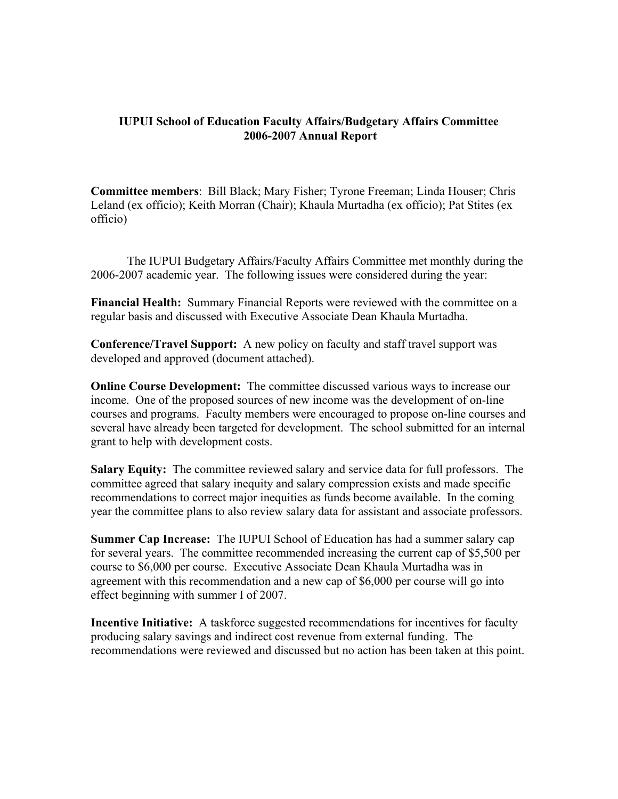## **IUPUI School of Education Faculty Affairs/Budgetary Affairs Committee 2006-2007 Annual Report**

**Committee members**: Bill Black; Mary Fisher; Tyrone Freeman; Linda Houser; Chris Leland (ex officio); Keith Morran (Chair); Khaula Murtadha (ex officio); Pat Stites (ex officio)

The IUPUI Budgetary Affairs/Faculty Affairs Committee met monthly during the 2006-2007 academic year. The following issues were considered during the year:

**Financial Health:** Summary Financial Reports were reviewed with the committee on a regular basis and discussed with Executive Associate Dean Khaula Murtadha.

**Conference/Travel Support:** A new policy on faculty and staff travel support was developed and approved (document attached).

**Online Course Development:** The committee discussed various ways to increase our income. One of the proposed sources of new income was the development of on-line courses and programs. Faculty members were encouraged to propose on-line courses and several have already been targeted for development. The school submitted for an internal grant to help with development costs.

**Salary Equity:** The committee reviewed salary and service data for full professors. The committee agreed that salary inequity and salary compression exists and made specific recommendations to correct major inequities as funds become available. In the coming year the committee plans to also review salary data for assistant and associate professors.

**Summer Cap Increase:** The IUPUI School of Education has had a summer salary cap for several years. The committee recommended increasing the current cap of \$5,500 per course to \$6,000 per course. Executive Associate Dean Khaula Murtadha was in agreement with this recommendation and a new cap of \$6,000 per course will go into effect beginning with summer I of 2007.

**Incentive Initiative:** A taskforce suggested recommendations for incentives for faculty producing salary savings and indirect cost revenue from external funding. The recommendations were reviewed and discussed but no action has been taken at this point.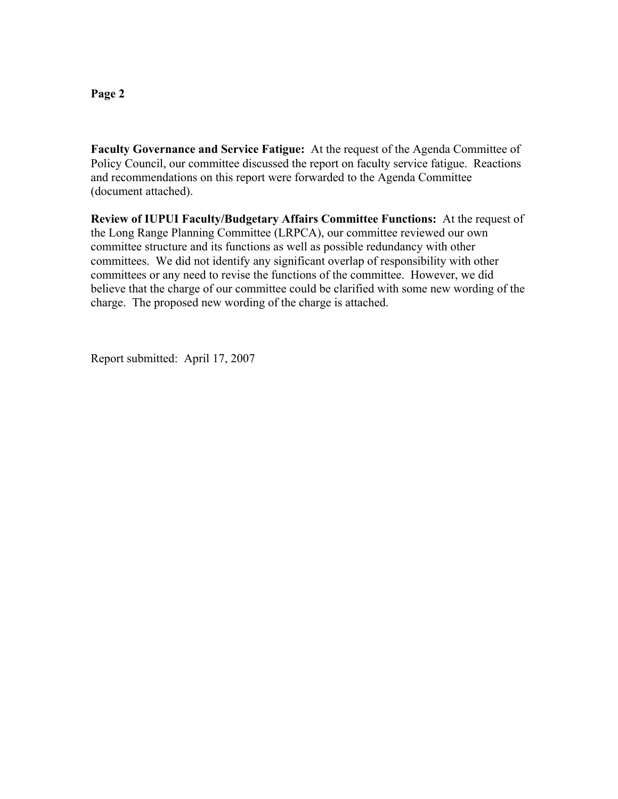#### **Page 2**

**Faculty Governance and Service Fatigue:** At the request of the Agenda Committee of Policy Council, our committee discussed the report on faculty service fatigue. Reactions and recommendations on this report were forwarded to the Agenda Committee (document attached).

**Review of IUPUI Faculty/Budgetary Affairs Committee Functions:** At the request of the Long Range Planning Committee (LRPCA), our committee reviewed our own committee structure and its functions as well as possible redundancy with other committees. We did not identify any significant overlap of responsibility with other committees or any need to revise the functions of the committee. However, we did believe that the charge of our committee could be clarified with some new wording of the charge. The proposed new wording of the charge is attached.

Report submitted: April 17, 2007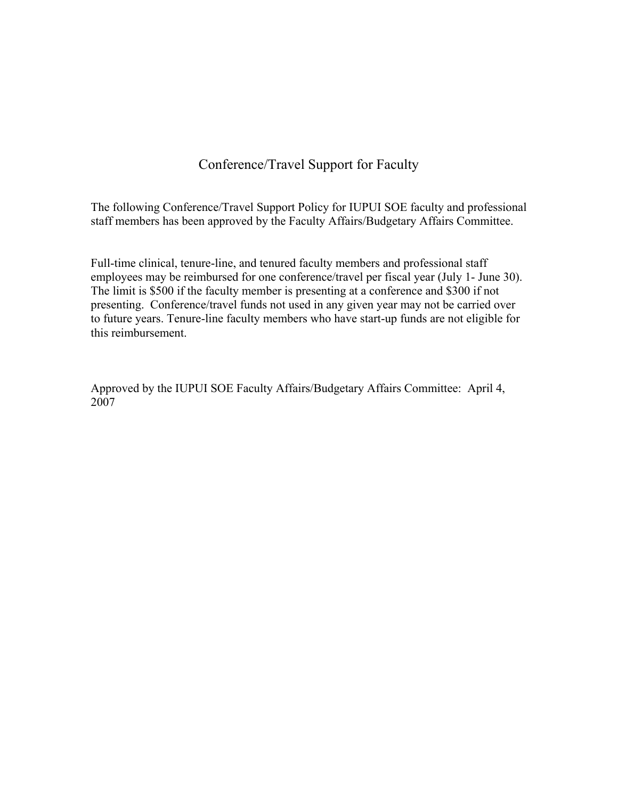# Conference/Travel Support for Faculty

The following Conference/Travel Support Policy for IUPUI SOE faculty and professional staff members has been approved by the Faculty Affairs/Budgetary Affairs Committee.

Full-time clinical, tenure-line, and tenured faculty members and professional staff employees may be reimbursed for one conference/travel per fiscal year (July 1- June 30). The limit is \$500 if the faculty member is presenting at a conference and \$300 if not presenting. Conference/travel funds not used in any given year may not be carried over to future years. Tenure-line faculty members who have start-up funds are not eligible for this reimbursement.

Approved by the IUPUI SOE Faculty Affairs/Budgetary Affairs Committee: April 4, 2007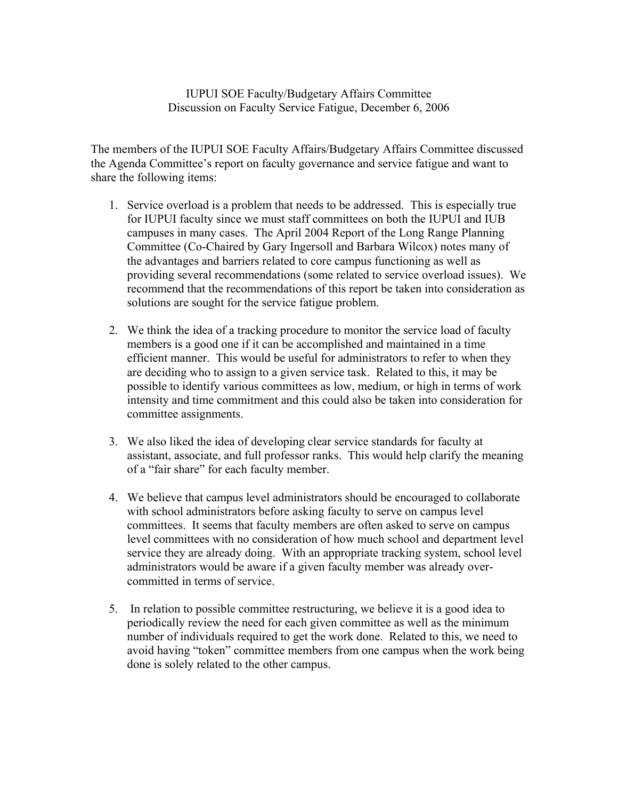# IUPUI SOE Faculty/Budgetary Affairs Committee Discussion on Faculty Service Fatigue, December 6, 2006

The members of the IUPUI SOE Faculty Affairs/Budgetary Affairs Committee discussed the Agenda Committee's report on faculty governance and service fatigue and want to share the following items:

- 1. Service overload is a problem that needs to be addressed. This is especially true for IUPUI faculty since we must staff committees on both the IUPUI and IUB campuses in many cases. The April 2004 Report of the Long Range Planning Committee (Co-Chaired by Gary Ingersoll and Barbara Wilcox) notes many of the advantages and barriers related to core campus functioning as well as providing several recommendations (some related to service overload issues). We recommend that the recommendations of this report be taken into consideration as solutions are sought for the service fatigue problem.
- 2. We think the idea of a tracking procedure to monitor the service load of faculty members is a good one if it can be accomplished and maintained in a time efficient manner. This would be useful for administrators to refer to when they are deciding who to assign to a given service task. Related to this, it may be possible to identify various committees as low, medium, or high in terms of work intensity and time commitment and this could also be taken into consideration for committee assignments.
- 3. We also liked the idea of developing clear service standards for faculty at assistant, associate, and full professor ranks. This would help clarify the meaning of a "fair share" for each faculty member.
- 4. We believe that campus level administrators should be encouraged to collaborate with school administrators before asking faculty to serve on campus level committees. It seems that faculty members are often asked to serve on campus level committees with no consideration of how much school and department level service they are already doing. With an appropriate tracking system, school level administrators would be aware if a given faculty member was already overcommitted in terms of service.
- 5. In relation to possible committee restructuring, we believe it is a good idea to periodically review the need for each given committee as well as the minimum number of individuals required to get the work done. Related to this, we need to avoid having "token" committee members from one campus when the work being done is solely related to the other campus.